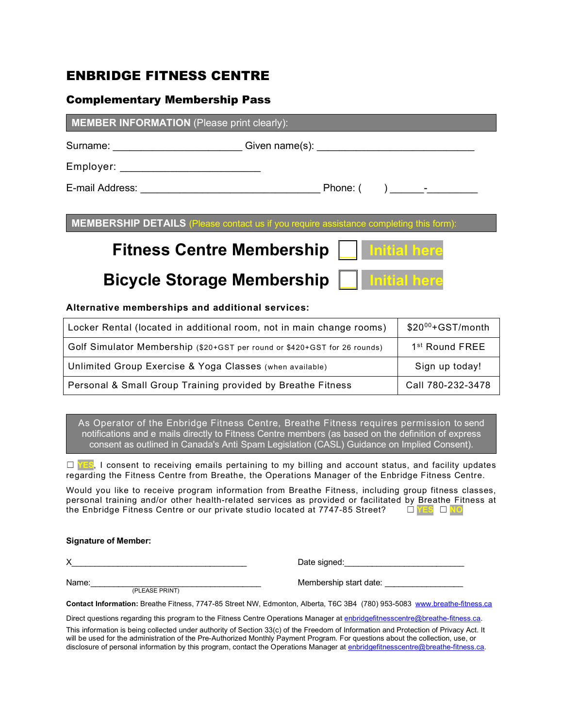### ENBRIDGE FITNESS CENTRE

#### Complementary Membership Pass

| <b>MEMBER INFORMATION</b> (Please print clearly): |  |          |                  |  |  |
|---------------------------------------------------|--|----------|------------------|--|--|
| Surname:                                          |  |          |                  |  |  |
| Employer: ____________________________            |  |          |                  |  |  |
| E-mail Address:                                   |  | Phone: ( | $\lambda$ $\sim$ |  |  |

**MEMBERSHIP DETAILS** (Please contact us if you require assistance

# **Fitness Centre Membership**

### **Bicycle Storage Membership**

#### **Alternative memberships and additional services:**

| Locker Rental (located in additional room, not in main change rooms)      | $$20^{00}$ +GST/month      |
|---------------------------------------------------------------------------|----------------------------|
| Golf Simulator Membership (\$20+GST per round or \$420+GST for 26 rounds) | 1 <sup>st</sup> Round FREE |
| Unlimited Group Exercise & Yoga Classes (when available)                  | Sign up today!             |
| Personal & Small Group Training provided by Breathe Fitness               | Call 780-232-3478          |

As Operator of the Enbridge Fitness Centre, Breathe Fitness requires permission to send notifications and e-mails directly to Fitness Centre members (as based on the definition of express consent as outlined in Canada's Anti-Spam Legislation (CASL) Guidance on Implied Consent).

□ **YES**, I consent to receiving emails pertaining to my billing and account status, and facility updates regarding the Fitness Centre from Breathe, the Operations Manager of the Enbridge Fitness Centre.

Would you like to receive program information from Breathe Fitness, including group fitness classes, personal training and/or other health-related services as provided or facilitated by Breathe Fitness at the Enbridge Fitness Centre or our private studio located at 7747-85 Street?  $\square$ the Enbridge Fitness Centre or our private studio located at 7747-85 Street?

#### **Signature of Member:**

X\_\_\_\_\_\_\_\_\_\_\_\_\_\_\_\_\_\_\_\_\_\_\_\_\_\_\_\_\_\_\_\_\_\_\_\_\_\_ Date signed:\_\_\_\_\_\_\_\_\_\_\_\_\_\_\_\_\_\_\_\_\_\_\_\_\_\_

Name:  $\frac{P_{\text{PEASE PRINT}}}{P_{\text{PEASE PRINT}}}$  Membership start date:

**Contact Information:** Breathe Fitness, 7747-85 Street NW, Edmonton, Alberta, T6C 3B4 (780) 953-5083 www.breathe-fitness.ca

Direct questions regarding this program to the Fitness Centre Operations Manager at enbridgefitnesscentre@breathe-fitness.ca.

This information is being collected under authority of Section 33(c) of the Freedom of Information and Protection of Privacy Act. It will be used for the administration of the Pre-Authorized Monthly Payment Program. For questions about the collection, use, or disclosure of personal information by this program, contact the Operations Manager at enbridgefitnesscentre@breathe-fitness.ca.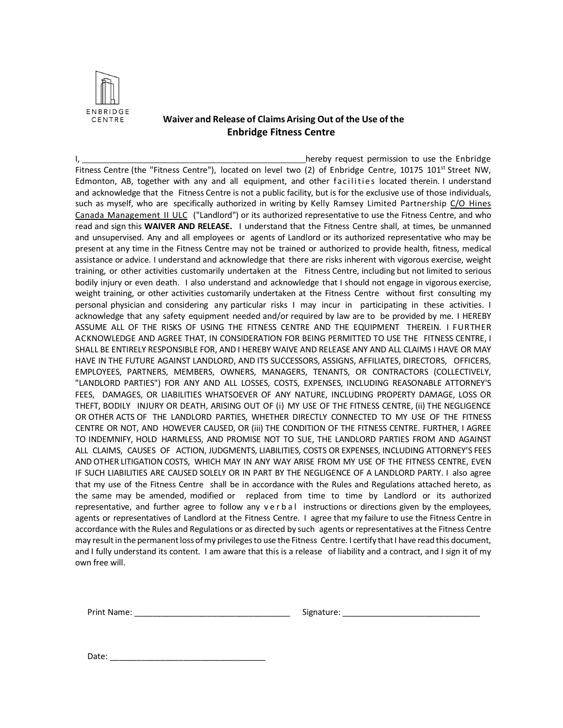

#### **Waiver and Release of Claims Arising Out of the Use of the Enbridge Fitness Centre**

I, hereby request permission to use the Enbridge Fitness Centre (the "Fitness Centre"), located on level two (2) of Enbridge Centre, 10175 101<sup>st</sup> Street NW, Edmonton, AB, together with any and all equipment, and other facilities located therein. I understand and acknowledge that the Fitness Centre is not a public facility, but is for the exclusive use of those individuals, such as myself, who are specifically authorized in writing by Kelly Ramsey Limited Partnership C/O Hines Canada Management II ULC ("Landlord") or its authorized representative to use the Fitness Centre, and who read and sign this **WAIVER AND RELEASE.** I understand that the Fitness Centre shall, at times, be unmanned and unsupervised. Any and all employees or agents of Landlord or its authorized representative who may be present at any time in the Fitness Centre may not be trained or authorized to provide health, fitness, medical assistance or advice. I understand and acknowledge that there are risks inherent with vigorous exercise, weight training, or other activities customarily undertaken at the Fitness Centre, including but not limited to serious bodily injury or even death. I also understand and acknowledge that I should not engage in vigorous exercise, weight training, or other activities customarily undertaken at the Fitness Centre without first consulting my personal physician and considering any particular risks I may incur in participating in these activities. I acknowledge that any safety equipment needed and/or required by law are to be provided by me. I HEREBY ASSUME ALL OF THE RISKS OF USING THE FITNESS CENTRE AND THE EQUIPMENT THEREIN. I FURTHER ACKNOWLEDGE AND AGREE THAT, IN CONSIDERATION FOR BEING PERMITTED TO USE THE FITNESS CENTRE, I SHALL BE ENTIRELY RESPONSIBLE FOR, AND I HEREBY WAIVE AND RELEASE ANY AND ALL CLAIMS I HAVE OR MAY HAVE IN THE FUTURE AGAINST LANDLORD, AND ITS SUCCESSORS, ASSIGNS, AFFILIATES, DIRECTORS, OFFICERS, EMPLOYEES, PARTNERS, MEMBERS, OWNERS, MANAGERS, TENANTS, OR CONTRACTORS (COLLECTIVELY, "LANDLORD PARTIES") FOR ANY AND ALL LOSSES, COSTS, EXPENSES, INCLUDING REASONABLE ATTORNEY'S FEES, DAMAGES, OR LIABILITIES WHATSOEVER OF ANY NATURE, INCLUDING PROPERTY DAMAGE, LOSS OR THEFT, BODILY INJURY OR DEATH, ARISING OUT OF (i) MY USE OF THE FITNESS CENTRE, (ii) THE NEGLIGENCE OR OTHER ACTS OF THE LANDLORD PARTIES, WHETHER DIRECTLY CONNECTED TO MY USE OF THE FITNESS CENTRE OR NOT, AND HOWEVER CAUSED, OR (iii) THE CONDITION OF THE FITNESS CENTRE. FURTHER, I AGREE TO INDEMNIFY, HOLD HARMLESS, AND PROMISE NOT TO SUE, THE LANDLORD PARTIES FROM AND AGAINST ALL CLAIMS, CAUSES OF ACTION, JUDGMENTS, LIABILITIES, COSTS OR EXPENSES, INCLUDING ATTORNEY'S FEES AND OTHER LITIGATION COSTS, WHICH MAY IN ANY WAY ARISE FROM MY USE OF THE FITNESS CENTRE, EVEN IF SUCH LIABILITIES ARE CAUSED SOLELY OR IN PART BY THE NEGLIGENCE OF A LANDLORD PARTY. I also agree that my use of the Fitness Centre shall be in accordance with the Rules and Regulations attached hereto, as the same may be amended, modified or replaced from time to time by Landlord or its authorized representative, and further agree to follow any verbal instructions or directions given by the employees, agents or representatives of Landlord at the Fitness Centre. I agree that my failure to use the Fitness Centre in accordance with the Rules and Regulations or as directed by such agents or representatives at the Fitness Centre may result in the permanent loss of my privileges to use the Fitness Centre. I certify that I have read this document, and I fully understand its content. I am aware that this is a release of liability and a contract, and I sign it of my own free will.

Print Name: The Communication of the Signature:  $\sim$  Signature:  $\sim$  25 Signature:

Date: \_\_\_\_\_\_\_\_\_\_\_\_\_\_\_\_\_\_\_\_\_\_\_\_\_\_\_\_\_\_\_\_\_\_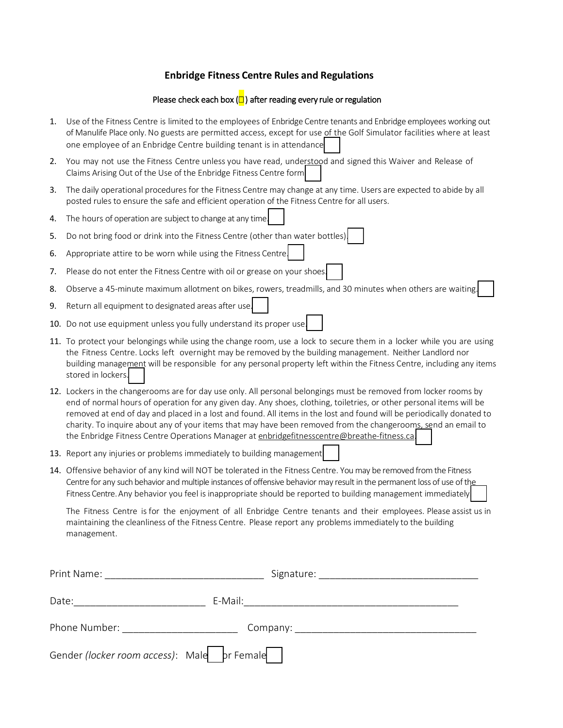#### **Enbridge Fitness Centre Rules and Regulations**

#### Please check each box  $\left(\Box\right)$  after reading every rule or regulation

- 1. Use of the Fitness Centre is limited to the employees of Enbridge Centre tenants and Enbridge employees working out of Manulife Place only. No guests are permitted access, except for use of the Golf Simulator facilities where at least one employee of an Enbridge Centre building tenant is in attendance
- 2. You may not use the Fitness Centre unless you have read, understood and signed this Waiver and Release of Claims Arising Out of the Use of the Enbridge Fitness Centre form.
- 3. The daily operational procedures for the Fitness Centre may change at any time. Users are expected to abide by all posted rules to ensure the safe and efficient operation of the Fitness Centre for all users.
- 4. The hours of operation are subject to change at any time.
- 5. Do not bring food or drink into the Fitness Centre (other than water bottles).
- 6. Appropriate attire to be worn while using the Fitness Centre.
- 7. Please do not enter the Fitness Centre with oil or grease on your shoes.
- 8. Observe a 45-minute maximum allotment on bikes, rowers, treadmills, and 30 minutes when others are waiting.
- 9. Return all equipment to designated areas after use.
- 10. Do not use equipment unless you fully understand its proper use.
- 11. To protect your belongings while using the change room, use a lock to secure them in a locker while you are using the Fitness Centre. Locks left overnight may be removed by the building management. Neither Landlord nor building management will be responsible for any personal property left within the Fitness Centre, including any items stored in lockers.
- 12. Lockers in the changerooms are for day use only. All personal belongings must be removed from locker rooms by end of normal hours of operation for any given day. Any shoes, clothing, toiletries, or other personal items will be removed at end of day and placed in a lost and found. All items in the lost and found will be periodically donated to charity. To inquire about any of your items that may have been removed from the changerooms, send an email to the Enbridge Fitness Centre Operations Manager at enbridgefitnesscentre@breathe-fitness.ca.
- 13. Report any injuries or problems immediately to building management
- 14. Offensive behavior of any kind will NOT be tolerated in the Fitness Centre. You may be removed from the Fitness Centre for any such behavior and multiple instances of offensive behavior may result in the permanent loss of use of the Fitness Centre. Any behavior you feel is inappropriate should be reported to building management immediately

The Fitness Centre is for the enjoyment of all Enbridge Centre tenants and their employees. Please assist us in maintaining the cleanliness of the Fitness Centre. Please report any problems immediately to the building management.

| Print Name:                                                                                                                                                                                                                   | Signature: |  |
|-------------------------------------------------------------------------------------------------------------------------------------------------------------------------------------------------------------------------------|------------|--|
| Date:                                                                                                                                                                                                                         | E-Mail:    |  |
| Phone Number: The contract of the contract of the contract of the contract of the contract of the contract of the contract of the contract of the contract of the contract of the contract of the contract of the contract of | Company:   |  |
| Gender (locker room access): Male    pr Female                                                                                                                                                                                |            |  |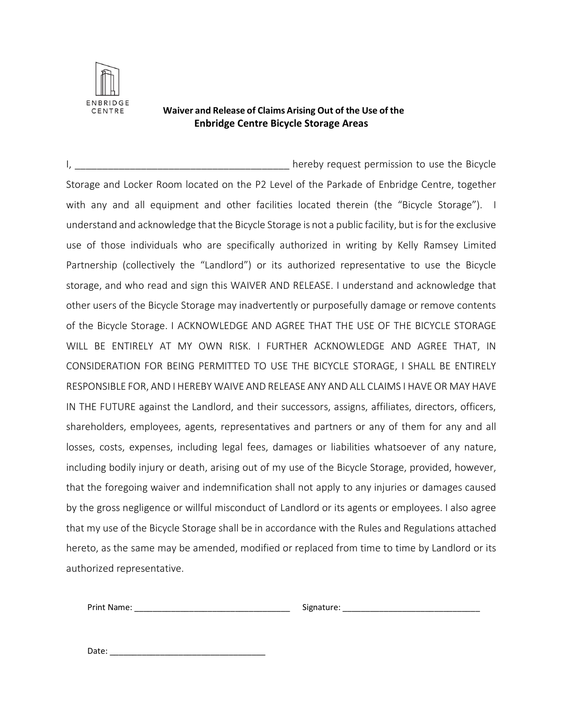

#### **Waiver and Release of Claims Arising Out of the Use of the Enbridge Centre Bicycle Storage Areas**

I, \_\_\_\_\_\_\_\_\_\_\_\_\_\_\_\_\_\_\_\_\_\_\_\_\_\_\_\_\_\_\_\_\_\_\_\_\_\_\_ hereby request permission to use the Bicycle Storage and Locker Room located on the P2 Level of the Parkade of Enbridge Centre, together with any and all equipment and other facilities located therein (the "Bicycle Storage"). I understand and acknowledge that the Bicycle Storage is not a public facility, but is for the exclusive use of those individuals who are specifically authorized in writing by Kelly Ramsey Limited Partnership (collectively the "Landlord") or its authorized representative to use the Bicycle storage, and who read and sign this WAIVER AND RELEASE. I understand and acknowledge that other users of the Bicycle Storage may inadvertently or purposefully damage or remove contents of the Bicycle Storage. I ACKNOWLEDGE AND AGREE THAT THE USE OF THE BICYCLE STORAGE WILL BE ENTIRELY AT MY OWN RISK. I FURTHER ACKNOWLEDGE AND AGREE THAT, IN CONSIDERATION FOR BEING PERMITTED TO USE THE BICYCLE STORAGE, I SHALL BE ENTIRELY RESPONSIBLE FOR, AND I HEREBY WAIVE AND RELEASE ANY AND ALL CLAIMS I HAVE OR MAY HAVE IN THE FUTURE against the Landlord, and their successors, assigns, affiliates, directors, officers, shareholders, employees, agents, representatives and partners or any of them for any and all losses, costs, expenses, including legal fees, damages or liabilities whatsoever of any nature, including bodily injury or death, arising out of my use of the Bicycle Storage, provided, however, that the foregoing waiver and indemnification shall not apply to any injuries or damages caused by the gross negligence or willful misconduct of Landlord or its agents or employees. I also agree that my use of the Bicycle Storage shall be in accordance with the Rules and Regulations attached hereto, as the same may be amended, modified or replaced from time to time by Landlord or its authorized representative.

Print Name: The contract of the contract of the Signature:  $\sim$  Signature:  $\sim$  2007.

Date: \_\_\_\_\_\_\_\_\_\_\_\_\_\_\_\_\_\_\_\_\_\_\_\_\_\_\_\_\_\_\_\_\_\_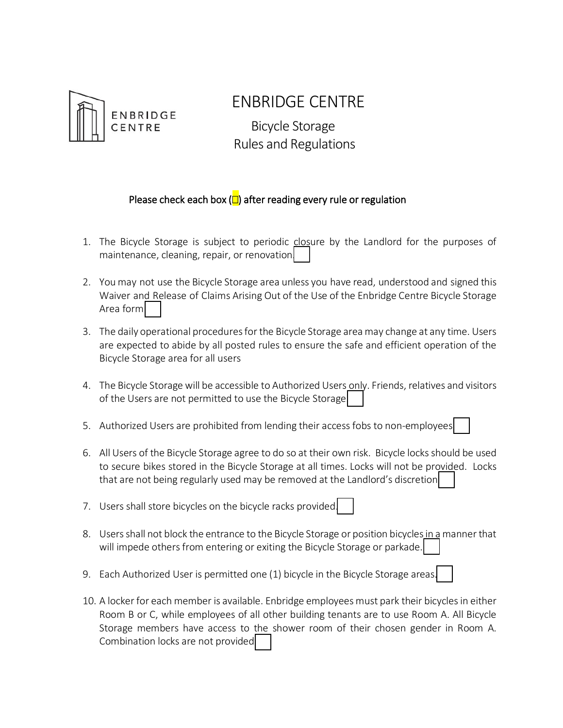

## ENBRIDGE CENTRE

 Bicycle Storage Rules and Regulations

### Please check each box  $\left(\Box\right)$  after reading every rule or regulation

- 1. The Bicycle Storage is subject to periodic closure by the Landlord for the purposes of maintenance, cleaning, repair, or renovation.
- 2. You may not use the Bicycle Storage area unless you have read, understood and signed this Waiver and Release of Claims Arising Out of the Use of the Enbridge Centre Bicycle Storage Area form
- 3. The daily operational procedures for the Bicycle Storage area may change at any time. Users are expected to abide by all posted rules to ensure the safe and efficient operation of the Bicycle Storage area for all users
- 4. The Bicycle Storage will be accessible to Authorized Users only. Friends, relatives and visitors of the Users are not permitted to use the Bicycle Storage
- 5. Authorized Users are prohibited from lending their access fobs to non-employees.
- 6. All Users of the Bicycle Storage agree to do so at their own risk. Bicycle locks should be used to secure bikes stored in the Bicycle Storage at all times. Locks will not be provided. Locks that are not being regularly used may be removed at the Landlord's discretion
- 7. Users shall store bicycles on the bicycle racks provided.
- 8. Users shall not block the entrance to the Bicycle Storage or position bicycles in a manner that will impede others from entering or exiting the Bicycle Storage or parkade.
- 9. Each Authorized User is permitted one (1) bicycle in the Bicycle Storage areas
- 10. A locker for each member is available. Enbridge employees must park their bicycles in either Room B or C, while employees of all other building tenants are to use Room A. All Bicycle Storage members have access to the shower room of their chosen gender in Room A. Combination locks are not provided.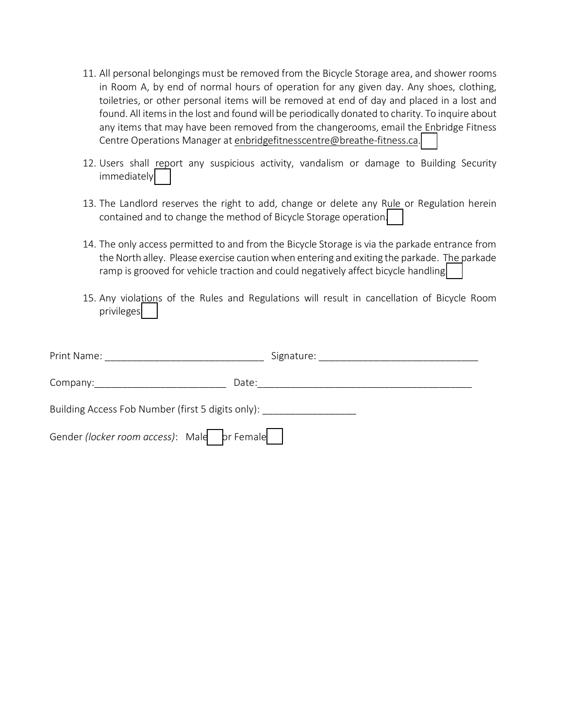- 11. All personal belongings must be removed from the Bicycle Storage area, and shower rooms in Room A, by end of normal hours of operation for any given day. Any shoes, clothing, toiletries, or other personal items will be removed at end of day and placed in a lost and found. All items in the lost and found will be periodically donated to charity. To inquire about any items that may have been removed from the changerooms, email the Enbridge Fitness Centre Operations Manager at enbridgefitnesscentre@breathe-fitness.ca.
- 12. Users shall report any suspicious activity, vandalism or damage to Building Security immediately.
- 13. The Landlord reserves the right to add, change or delete any Rule or Regulation herein contained and to change the method of Bicycle Storage operation.
- 14. The only access permitted to and from the Bicycle Storage is via the parkade entrance from the North alley. Please exercise caution when entering and exiting the parkade. The parkade ramp is grooved for vehicle traction and could negatively affect bicycle handling.
- 15. Any violations of the Rules and Regulations will result in cancellation of Bicycle Room privileges.

| Print Name: The control of the control of the control of the control of the control of the control of the control of the control of the control of the control of the control of the control of the control of the control of | Signature: ___________ |  |  |  |
|-------------------------------------------------------------------------------------------------------------------------------------------------------------------------------------------------------------------------------|------------------------|--|--|--|
| Date:                                                                                                                                                                                                                         |                        |  |  |  |
| Building Access Fob Number (first 5 digits only):                                                                                                                                                                             |                        |  |  |  |
| Gender (locker room access): Male    pr Female                                                                                                                                                                                |                        |  |  |  |